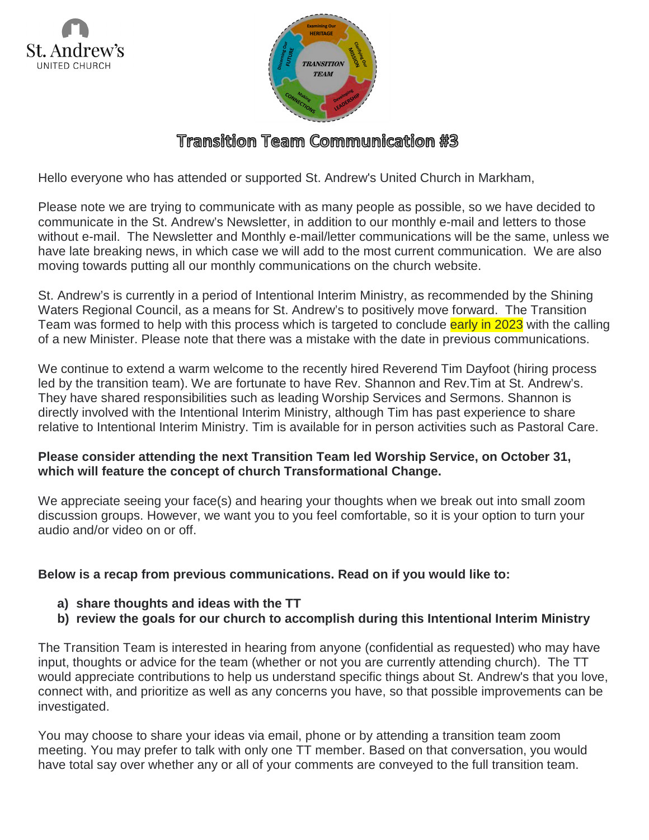



## Transition Team Communication #3

Hello everyone who has attended or supported St. Andrew's United Church in Markham,

Please note we are trying to communicate with as many people as possible, so we have decided to communicate in the St. Andrew's Newsletter, in addition to our monthly e-mail and letters to those without e-mail. The Newsletter and Monthly e-mail/letter communications will be the same, unless we have late breaking news, in which case we will add to the most current communication. We are also moving towards putting all our monthly communications on the church website.

St. Andrew's is currently in a period of Intentional Interim Ministry, as recommended by the Shining Waters Regional Council, as a means for St. Andrew's to positively move forward. The Transition Team was formed to help with this process which is targeted to conclude early in 2023 with the calling of a new Minister. Please note that there was a mistake with the date in previous communications.

We continue to extend a warm welcome to the recently hired Reverend Tim Dayfoot (hiring process led by the transition team). We are fortunate to have Rev. Shannon and Rev.Tim at St. Andrew's. They have shared responsibilities such as leading Worship Services and Sermons. Shannon is directly involved with the Intentional Interim Ministry, although Tim has past experience to share relative to Intentional Interim Ministry. Tim is available for in person activities such as Pastoral Care.

## **Please consider attending the next Transition Team led Worship Service, on October 31, which will feature the concept of church Transformational Change.**

We appreciate seeing your face(s) and hearing your thoughts when we break out into small zoom discussion groups. However, we want you to you feel comfortable, so it is your option to turn your audio and/or video on or off.

## **Below is a recap from previous communications. Read on if you would like to:**

- **a) share thoughts and ideas with the TT**
- **b) review the goals for our church to accomplish during this Intentional Interim Ministry**

The Transition Team is interested in hearing from anyone (confidential as requested) who may have input, thoughts or advice for the team (whether or not you are currently attending church). The TT would appreciate contributions to help us understand specific things about St. Andrew's that you love, connect with, and prioritize as well as any concerns you have, so that possible improvements can be investigated.

You may choose to share your ideas via email, phone or by attending a transition team zoom meeting. You may prefer to talk with only one TT member. Based on that conversation, you would have total say over whether any or all of your comments are conveyed to the full transition team.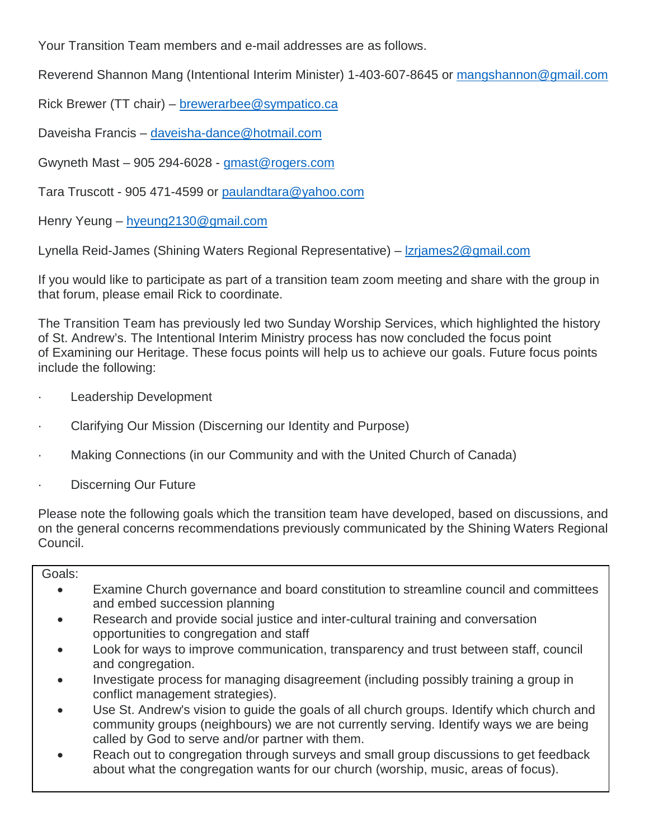Your Transition Team members and e-mail addresses are as follows.

Reverend Shannon Mang (Intentional Interim Minister) 1-403-607-8645 or [mangshannon@gmail.com](mailto:mangshannon@gmail.com)

Rick Brewer (TT chair) – [brewerarbee@sympatico.ca](mailto:brewerarbee@sympatico.ca)

Daveisha Francis – [daveisha-dance@hotmail.com](mailto:daveisha-dance@hotmail.com)

Gwyneth Mast  $-905294-6028 - g$  mast @ rogers.com

Tara Truscott - 905 471-4599 or [paulandtara@yahoo.com](mailto:paulandtara@yahoo.com)

Henry Yeung – [hyeung2130@gmail.com](mailto:hyeung2130@gmail.com)

Lynella Reid-James (Shining Waters Regional Representative) – [lzrjames2@gmail.com](mailto:lzrjames2@gmail.com)

If you would like to participate as part of a transition team zoom meeting and share with the group in that forum, please email Rick to coordinate.

The Transition Team has previously led two Sunday Worship Services, which highlighted the history of St. Andrew's. The Intentional Interim Ministry process has now concluded the focus point of Examining our Heritage. These focus points will help us to achieve our goals. Future focus points include the following:

- Leadership Development
- Clarifying Our Mission (Discerning our Identity and Purpose)
- Making Connections (in our Community and with the United Church of Canada)
- Discerning Our Future

Please note the following goals which the transition team have developed, based on discussions, and on the general concerns recommendations previously communicated by the Shining Waters Regional Council.

## Goals:

- Examine Church governance and board constitution to streamline council and committees and embed succession planning
- Research and provide social justice and inter-cultural training and conversation opportunities to congregation and staff
- Look for ways to improve communication, transparency and trust between staff, council and congregation.
- Investigate process for managing disagreement (including possibly training a group in conflict management strategies).
- Use St. Andrew's vision to guide the goals of all church groups. Identify which church and community groups (neighbours) we are not currently serving. Identify ways we are being called by God to serve and/or partner with them.
- Reach out to congregation through surveys and small group discussions to get feedback about what the congregation wants for our church (worship, music, areas of focus).